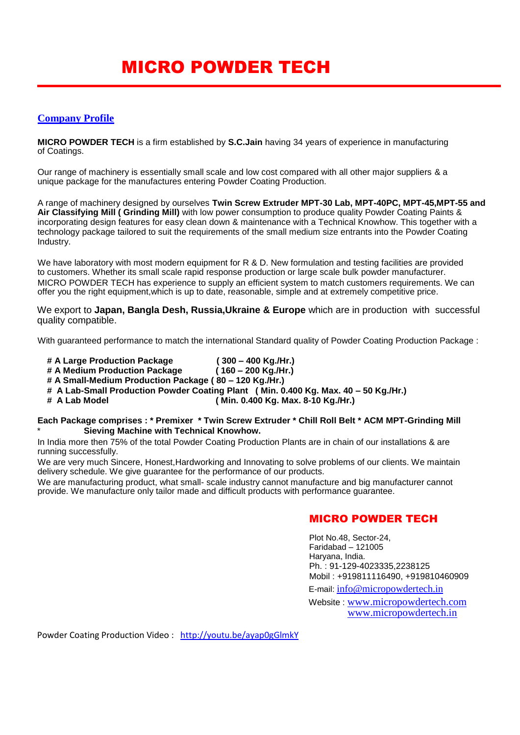# MICRO POWDER TECH

#### **Company Profile**

**MICRO POWDER TECH** is a firm established by **S.C.Jain** having 34 years of experience in manufacturing of Coatings.

Our range of machinery is essentially small scale and low cost compared with all other major suppliers & a unique package for the manufactures entering Powder Coating Production.

A range of machinery designed by ourselves **Twin Screw Extruder MPT-30 Lab, MPT-40PC, MPT-45,MPT-55 and Air Classifying Mill ( Grinding Mill)** with low power consumption to produce quality Powder Coating Paints & incorporating design features for easy clean down & maintenance with a Technical Knowhow. This together with a technology package tailored to suit the requirements of the small medium size entrants into the Powder Coating Industry.

We have laboratory with most modern equipment for R & D. New formulation and testing facilities are provided to customers. Whether its small scale rapid response production or large scale bulk powder manufacturer. MICRO POWDER TECH has experience to supply an efficient system to match customers requirements. We can offer you the right equipment,which is up to date, reasonable, simple and at extremely competitive price.

We export to **Japan, Bangla Desh, Russia,Ukraine & Europe** which are in production with successful quality compatible.

With guaranteed performance to match the international Standard quality of Powder Coating Production Package :

- **# A Large Production Package ( 300 – 400 Kg./Hr.)**
- **# A Medium Production Package ( 160 – 200 Kg./Hr.)**
- **# A Small-Medium Production Package ( 80 – 120 Kg./Hr.)**
- **# A Lab-Small Production Powder Coating Plant ( Min. 0.400 Kg. Max. 40 – 50 Kg./Hr.)**
- **# A Lab Model ( Min. 0.400 Kg. Max. 8-10 Kg./Hr.)**

#### **Each Package comprises : \* Premixer \* Twin Screw Extruder \* Chill Roll Belt \* ACM MPT-Grinding Mill** Sieving Machine with Technical Knowhow.

In India more then 75% of the total Powder Coating Production Plants are in chain of our installations & are running successfully.

We are very much Sincere, Honest,Hardworking and Innovating to solve problems of our clients. We maintain delivery schedule. We give guarantee for the performance of our products.

We are manufacturing product, what small- scale industry cannot manufacture and big manufacturer cannot provide. We manufacture only tailor made and difficult products with performance guarantee.

#### MICRO POWDER TECH

Plot No.48, Sector-24, Faridabad – 121005 Haryana, India. Ph. : 91-129-4023335,2238125 Mobil : +919811116490, +919810460909 E-mail: info@micropowdertech.in Website : www.micropowdertech.com www.micropowdertech.in

Powder Coating Production Video : <http://youtu.be/ayap0gGlmkY>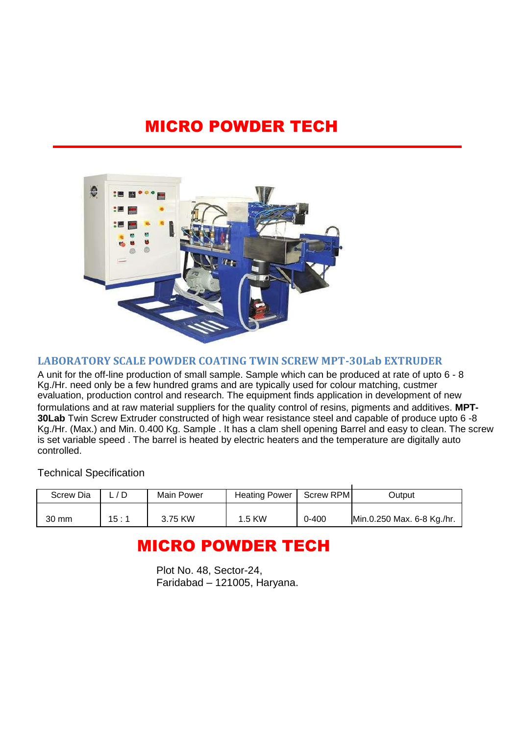### MICRO POWDER TECH



### **LABORATORY SCALE POWDER COATING TWIN SCREW MPT-30Lab EXTRUDER**

A unit for the off-line production of small sample. Sample which can be produced at rate of upto 6 - 8 Kg./Hr. need only be a few hundred grams and are typically used for colour matching, custmer evaluation, production control and research. The equipment finds application in development of new formulations and at raw material suppliers for the quality control of resins, pigments and additives. **MPT-30Lab** Twin Screw Extruder constructed of high wear resistance steel and capable of produce upto 6 -8 Kg./Hr. (Max.) and Min. 0.400 Kg. Sample . It has a clam shell opening Barrel and easy to clean. The screw is set variable speed . The barrel is heated by electric heaters and the temperature are digitally auto controlled.

Technical Specification

| Screw Dia |      | Main Power | <b>Heating Power</b> | Screw RPM | Output                     |
|-----------|------|------------|----------------------|-----------|----------------------------|
| 30 mm     | 15:1 | 3.75 KW    | 1.5 KW               | $0 - 400$ | Min.0.250 Max. 6-8 Kg./hr. |

## MICRO POWDER TECH

Plot No. 48, Sector-24, Faridabad – 121005, Haryana.